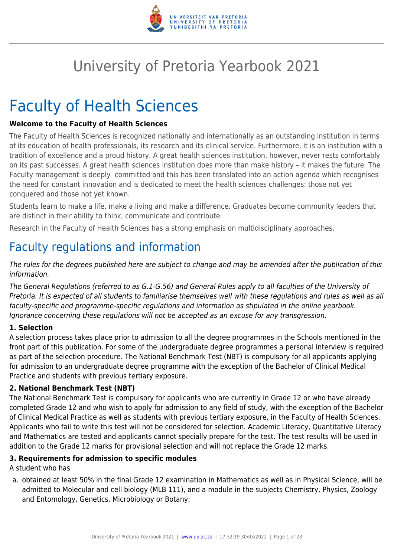

# University of Pretoria Yearbook 2021

# Faculty of Health Sciences

#### **Welcome to the Faculty of Health Sciences**

The Faculty of Health Sciences is recognized nationally and internationally as an outstanding institution in terms of its education of health professionals, its research and its clinical service. Furthermore, it is an institution with a tradition of excellence and a proud history. A great health sciences institution, however, never rests comfortably on its past successes. A great health sciences institution does more than make history – it makes the future. The Faculty management is deeply committed and this has been translated into an action agenda which recognises the need for constant innovation and is dedicated to meet the health sciences challenges: those not yet conquered and those not yet known.

Students learn to make a life, make a living and make a difference. Graduates become community leaders that are distinct in their ability to think, communicate and contribute.

Research in the Faculty of Health Sciences has a strong emphasis on multidisciplinary approaches.

## Faculty regulations and information

The rules for the degrees published here are subject to change and may be amended after the publication of this information.

The General Regulations (referred to as G.1-G.56) and General Rules apply to all faculties of the University of Pretoria. It is expected of all students to familiarise themselves well with these regulations and rules as well as all faculty-specific and programme-specific regulations and information as stipulated in the online yearbook. Ignorance concerning these regulations will not be accepted as an excuse for any transgression.

#### **1. Selection**

A selection process takes place prior to admission to all the degree programmes in the Schools mentioned in the front part of this publication. For some of the undergraduate degree programmes a personal interview is required as part of the selection procedure. The National Benchmark Test (NBT) is compulsory for all applicants applying for admission to an undergraduate degree programme with the exception of the Bachelor of Clinical Medical Practice and students with previous tertiary exposure.

#### **2. National Benchmark Test (NBT)**

The National Benchmark Test is compulsory for applicants who are currently in Grade 12 or who have already completed Grade 12 and who wish to apply for admission to any field of study, with the exception of the Bachelor of Clinical Medical Practice as well as students with previous tertiary exposure, in the Faculty of Health Sciences. Applicants who fail to write this test will not be considered for selection. Academic Literacy, Quantitative Literacy and Mathematics are tested and applicants cannot specially prepare for the test. The test results will be used in addition to the Grade 12 marks for provisional selection and will not replace the Grade 12 marks.

#### **3. Requirements for admission to specific modules**

A student who has

a. obtained at least 50% in the final Grade 12 examination in Mathematics as well as in Physical Science, will be admitted to Molecular and cell biology (MLB 111), and a module in the subjects Chemistry, Physics, Zoology and Entomology, Genetics, Microbiology or Botany;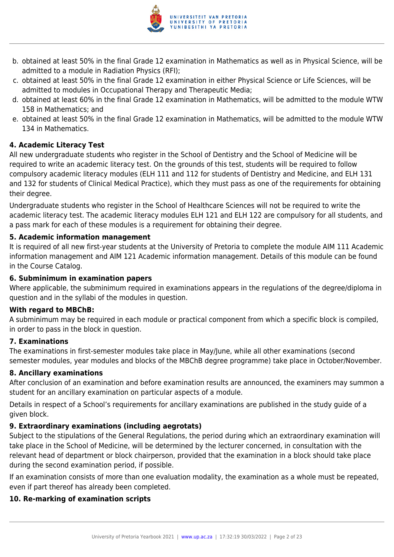

- b. obtained at least 50% in the final Grade 12 examination in Mathematics as well as in Physical Science, will be admitted to a module in Radiation Physics (RFI);
- c. obtained at least 50% in the final Grade 12 examination in either Physical Science or Life Sciences, will be admitted to modules in Occupational Therapy and Therapeutic Media;
- d. obtained at least 60% in the final Grade 12 examination in Mathematics, will be admitted to the module WTW 158 in Mathematics; and
- e. obtained at least 50% in the final Grade 12 examination in Mathematics, will be admitted to the module WTW 134 in Mathematics.

#### **4. Academic Literacy Test**

All new undergraduate students who register in the School of Dentistry and the School of Medicine will be required to write an academic literacy test. On the grounds of this test, students will be required to follow compulsory academic literacy modules (ELH 111 and 112 for students of Dentistry and Medicine, and ELH 131 and 132 for students of Clinical Medical Practice), which they must pass as one of the requirements for obtaining their degree.

Undergraduate students who register in the School of Healthcare Sciences will not be required to write the academic literacy test. The academic literacy modules ELH 121 and ELH 122 are compulsory for all students, and a pass mark for each of these modules is a requirement for obtaining their degree.

#### **5. Academic information management**

It is required of all new first-year students at the University of Pretoria to complete the module AIM 111 Academic information management and AIM 121 Academic information management. Details of this module can be found in the Course Catalog.

#### **6. Subminimum in examination papers**

Where applicable, the subminimum required in examinations appears in the regulations of the degree/diploma in question and in the syllabi of the modules in question.

#### **With regard to MBChB:**

A subminimum may be required in each module or practical component from which a specific block is compiled, in order to pass in the block in question.

#### **7. Examinations**

The examinations in first-semester modules take place in May/June, while all other examinations (second semester modules, year modules and blocks of the MBChB degree programme) take place in October/November.

#### **8. Ancillary examinations**

After conclusion of an examination and before examination results are announced, the examiners may summon a student for an ancillary examination on particular aspects of a module.

Details in respect of a School's requirements for ancillary examinations are published in the study guide of a given block.

#### **9. Extraordinary examinations (including aegrotats)**

Subject to the stipulations of the General Regulations, the period during which an extraordinary examination will take place in the School of Medicine, will be determined by the lecturer concerned, in consultation with the relevant head of department or block chairperson, provided that the examination in a block should take place during the second examination period, if possible.

If an examination consists of more than one evaluation modality, the examination as a whole must be repeated, even if part thereof has already been completed.

#### **10. Re-marking of examination scripts**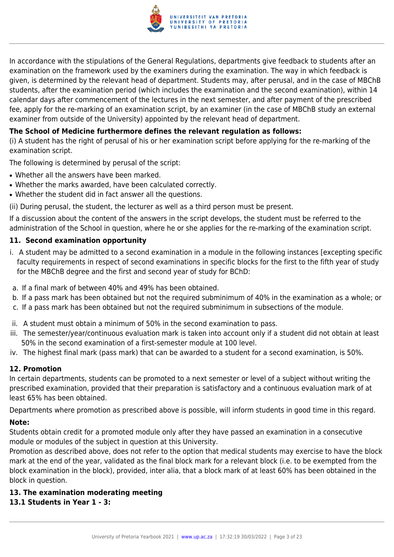

In accordance with the stipulations of the General Regulations, departments give feedback to students after an examination on the framework used by the examiners during the examination. The way in which feedback is given, is determined by the relevant head of department. Students may, after perusal, and in the case of MBChB students, after the examination period (which includes the examination and the second examination), within 14 calendar days after commencement of the lectures in the next semester, and after payment of the prescribed fee, apply for the re-marking of an examination script, by an examiner (in the case of MBChB study an external examiner from outside of the University) appointed by the relevant head of department.

#### **The School of Medicine furthermore defines the relevant regulation as follows:**

(i) A student has the right of perusal of his or her examination script before applying for the re-marking of the examination script.

The following is determined by perusal of the script:

- Whether all the answers have been marked.
- Whether the marks awarded, have been calculated correctly.
- Whether the student did in fact answer all the questions.

(ii) During perusal, the student, the lecturer as well as a third person must be present.

If a discussion about the content of the answers in the script develops, the student must be referred to the administration of the School in question, where he or she applies for the re-marking of the examination script.

#### **11. Second examination opportunity**

- i. A student may be admitted to a second examination in a module in the following instances [excepting specific faculty requirements in respect of second examinations in specific blocks for the first to the fifth year of study for the MBChB degree and the first and second year of study for BChD:
- a. If a final mark of between 40% and 49% has been obtained.
- b. If a pass mark has been obtained but not the required subminimum of 40% in the examination as a whole; or
- c. If a pass mark has been obtained but not the required subminimum in subsections of the module.
- ii. A student must obtain a minimum of 50% in the second examination to pass.
- iii. The semester/year/continuous evaluation mark is taken into account only if a student did not obtain at least 50% in the second examination of a first-semester module at 100 level.
- iv. The highest final mark (pass mark) that can be awarded to a student for a second examination, is 50%.

#### **12. Promotion**

In certain departments, students can be promoted to a next semester or level of a subject without writing the prescribed examination, provided that their preparation is satisfactory and a continuous evaluation mark of at least 65% has been obtained.

Departments where promotion as prescribed above is possible, will inform students in good time in this regard.

#### **Note:**

Students obtain credit for a promoted module only after they have passed an examination in a consecutive module or modules of the subject in question at this University.

Promotion as described above, does not refer to the option that medical students may exercise to have the block mark at the end of the year, validated as the final block mark for a relevant block (i.e. to be exempted from the block examination in the block), provided, inter alia, that a block mark of at least 60% has been obtained in the block in question.

#### **13. The examination moderating meeting**

#### **13.1 Students in Year 1 - 3:**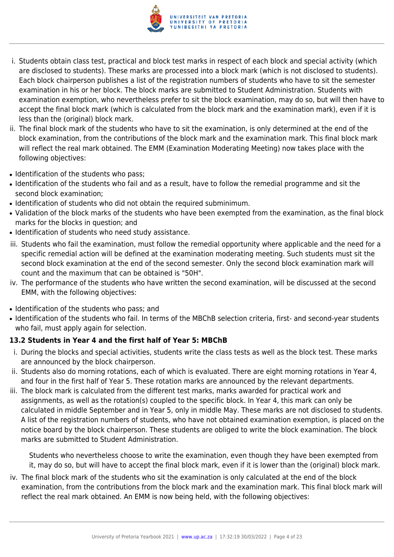

- i. Students obtain class test, practical and block test marks in respect of each block and special activity (which are disclosed to students). These marks are processed into a block mark (which is not disclosed to students). Each block chairperson publishes a list of the registration numbers of students who have to sit the semester examination in his or her block. The block marks are submitted to Student Administration. Students with examination exemption, who nevertheless prefer to sit the block examination, may do so, but will then have to accept the final block mark (which is calculated from the block mark and the examination mark), even if it is less than the (original) block mark.
- ii. The final block mark of the students who have to sit the examination, is only determined at the end of the block examination, from the contributions of the block mark and the examination mark. This final block mark will reflect the real mark obtained. The EMM (Examination Moderating Meeting) now takes place with the following objectives:
- Identification of the students who pass:
- Identification of the students who fail and as a result, have to follow the remedial programme and sit the second block examination;
- Identification of students who did not obtain the required subminimum.
- Validation of the block marks of the students who have been exempted from the examination, as the final block marks for the blocks in question; and
- Identification of students who need study assistance.
- iii. Students who fail the examination, must follow the remedial opportunity where applicable and the need for a specific remedial action will be defined at the examination moderating meeting. Such students must sit the second block examination at the end of the second semester. Only the second block examination mark will count and the maximum that can be obtained is "50H".
- iv. The performance of the students who have written the second examination, will be discussed at the second EMM, with the following objectives:
- Identification of the students who pass; and
- Identification of the students who fail. In terms of the MBChB selection criteria, first- and second-year students who fail, must apply again for selection.

#### **13.2 Students in Year 4 and the first half of Year 5: MBChB**

- i. During the blocks and special activities, students write the class tests as well as the block test. These marks are announced by the block chairperson.
- ii. Students also do morning rotations, each of which is evaluated. There are eight morning rotations in Year 4, and four in the first half of Year 5. These rotation marks are announced by the relevant departments.
- iii. The block mark is calculated from the different test marks, marks awarded for practical work and assignments, as well as the rotation(s) coupled to the specific block. In Year 4, this mark can only be calculated in middle September and in Year 5, only in middle May. These marks are not disclosed to students. A list of the registration numbers of students, who have not obtained examination exemption, is placed on the notice board by the block chairperson. These students are obliged to write the block examination. The block marks are submitted to Student Administration.

Students who nevertheless choose to write the examination, even though they have been exempted from it, may do so, but will have to accept the final block mark, even if it is lower than the (original) block mark.

iv. The final block mark of the students who sit the examination is only calculated at the end of the block examination, from the contributions from the block mark and the examination mark. This final block mark will reflect the real mark obtained. An EMM is now being held, with the following objectives: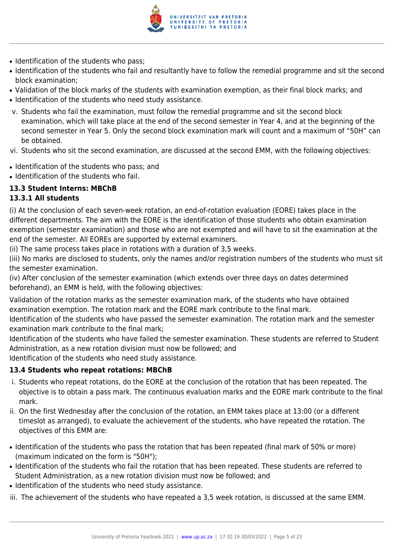

- Identification of the students who pass:
- Identification of the students who fail and resultantly have to follow the remedial programme and sit the second block examination;
- Validation of the block marks of the students with examination exemption, as their final block marks; and • Identification of the students who need study assistance.
- v. Students who fail the examination, must follow the remedial programme and sit the second block examination, which will take place at the end of the second semester in Year 4, and at the beginning of the second semester in Year 5. Only the second block examination mark will count and a maximum of "50H" can be obtained.
- vi. Students who sit the second examination, are discussed at the second EMM, with the following objectives:
- Identification of the students who pass; and
- Identification of the students who fail.

#### **13.3 Student Interns: MBChB**

#### **13.3.1 All students**

(i) At the conclusion of each seven-week rotation, an end-of-rotation evaluation (EORE) takes place in the different departments. The aim with the EORE is the identification of those students who obtain examination exemption (semester examination) and those who are not exempted and will have to sit the examination at the end of the semester. All EOREs are supported by external examiners.

(ii) The same process takes place in rotations with a duration of 3,5 weeks.

(iii) No marks are disclosed to students, only the names and/or registration numbers of the students who must sit the semester examination.

(iv) After conclusion of the semester examination (which extends over three days on dates determined beforehand), an EMM is held, with the following objectives:

Validation of the rotation marks as the semester examination mark, of the students who have obtained examination exemption. The rotation mark and the EORE mark contribute to the final mark.

Identification of the students who have passed the semester examination. The rotation mark and the semester examination mark contribute to the final mark;

Identification of the students who have failed the semester examination. These students are referred to Student Administration, as a new rotation division must now be followed; and

Identification of the students who need study assistance.

#### **13.4 Students who repeat rotations: MBChB**

- i. Students who repeat rotations, do the EORE at the conclusion of the rotation that has been repeated. The objective is to obtain a pass mark. The continuous evaluation marks and the EORE mark contribute to the final mark.
- ii. On the first Wednesday after the conclusion of the rotation, an EMM takes place at 13:00 (or a different timeslot as arranged), to evaluate the achievement of the students, who have repeated the rotation. The objectives of this EMM are:
- Identification of the students who pass the rotation that has been repeated (final mark of 50% or more) (maximum indicated on the form is "50H");
- Identification of the students who fail the rotation that has been repeated. These students are referred to Student Administration, as a new rotation division must now be followed; and
- Identification of the students who need study assistance.
- iii. The achievement of the students who have repeated a 3,5 week rotation, is discussed at the same EMM.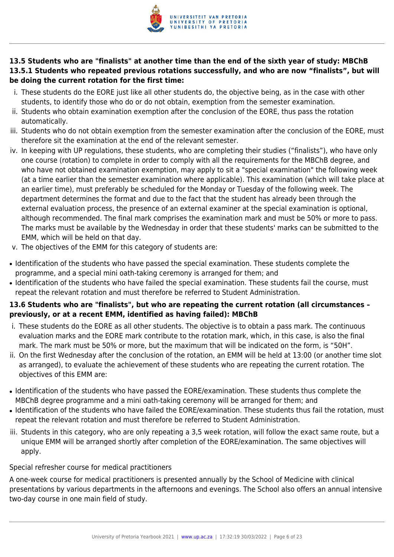

#### **13.5 Students who are "finalists" at another time than the end of the sixth year of study: MBChB 13.5.1 Students who repeated previous rotations successfully, and who are now "finalists", but will be doing the current rotation for the first time:**

- i. These students do the EORE just like all other students do, the objective being, as in the case with other students, to identify those who do or do not obtain, exemption from the semester examination.
- ii. Students who obtain examination exemption after the conclusion of the EORE, thus pass the rotation automatically.
- iii. Students who do not obtain exemption from the semester examination after the conclusion of the EORE, must therefore sit the examination at the end of the relevant semester.
- iv. In keeping with UP regulations, these students, who are completing their studies ("finalists"), who have only one course (rotation) to complete in order to comply with all the requirements for the MBChB degree, and who have not obtained examination exemption, may apply to sit a "special examination" the following week (at a time earlier than the semester examination where applicable). This examination (which will take place at an earlier time), must preferably be scheduled for the Monday or Tuesday of the following week. The department determines the format and due to the fact that the student has already been through the external evaluation process, the presence of an external examiner at the special examination is optional, although recommended. The final mark comprises the examination mark and must be 50% or more to pass. The marks must be available by the Wednesday in order that these students' marks can be submitted to the EMM, which will be held on that day.
- v. The objectives of the EMM for this category of students are:
- Identification of the students who have passed the special examination. These students complete the programme, and a special mini oath-taking ceremony is arranged for them; and
- Identification of the students who have failed the special examination. These students fail the course, must repeat the relevant rotation and must therefore be referred to Student Administration.

#### **13.6 Students who are "finalists", but who are repeating the current rotation (all circumstances – previously, or at a recent EMM, identified as having failed): MBChB**

- i. These students do the EORE as all other students. The objective is to obtain a pass mark. The continuous evaluation marks and the EORE mark contribute to the rotation mark, which, in this case, is also the final mark. The mark must be 50% or more, but the maximum that will be indicated on the form, is "50H".
- ii. On the first Wednesday after the conclusion of the rotation, an EMM will be held at 13:00 (or another time slot as arranged), to evaluate the achievement of these students who are repeating the current rotation. The objectives of this EMM are:
- Identification of the students who have passed the EORE/examination. These students thus complete the MBChB degree programme and a mini oath-taking ceremony will be arranged for them; and
- Identification of the students who have failed the EORE/examination. These students thus fail the rotation, must repeat the relevant rotation and must therefore be referred to Student Administration.
- iii. Students in this category, who are only repeating a 3,5 week rotation, will follow the exact same route, but a unique EMM will be arranged shortly after completion of the EORE/examination. The same objectives will apply.

#### Special refresher course for medical practitioners

A one-week course for medical practitioners is presented annually by the School of Medicine with clinical presentations by various departments in the afternoons and evenings. The School also offers an annual intensive two-day course in one main field of study.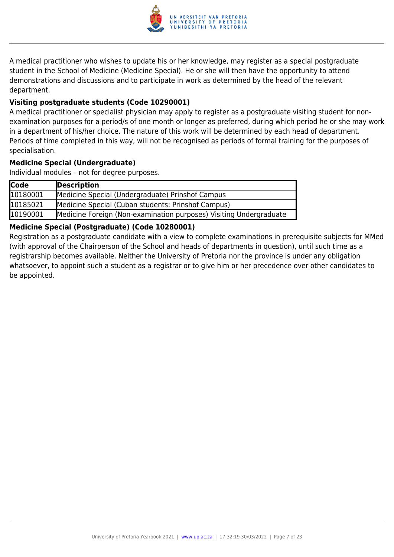

A medical practitioner who wishes to update his or her knowledge, may register as a special postgraduate student in the School of Medicine (Medicine Special). He or she will then have the opportunity to attend demonstrations and discussions and to participate in work as determined by the head of the relevant department.

#### **Visiting postgraduate students (Code 10290001)**

A medical practitioner or specialist physician may apply to register as a postgraduate visiting student for nonexamination purposes for a period/s of one month or longer as preferred, during which period he or she may work in a department of his/her choice. The nature of this work will be determined by each head of department. Periods of time completed in this way, will not be recognised as periods of formal training for the purposes of specialisation.

#### **Medicine Special (Undergraduate)**

Individual modules – not for degree purposes.

| <b>Code</b> | Description                                                        |
|-------------|--------------------------------------------------------------------|
| 10180001    | Medicine Special (Undergraduate) Prinshof Campus                   |
| 10185021    | Medicine Special (Cuban students: Prinshof Campus)                 |
| 10190001    | Medicine Foreign (Non-examination purposes) Visiting Undergraduate |

#### **Medicine Special (Postgraduate) (Code 10280001)**

Registration as a postgraduate candidate with a view to complete examinations in prerequisite subjects for MMed (with approval of the Chairperson of the School and heads of departments in question), until such time as a registrarship becomes available. Neither the University of Pretoria nor the province is under any obligation whatsoever, to appoint such a student as a registrar or to give him or her precedence over other candidates to be appointed.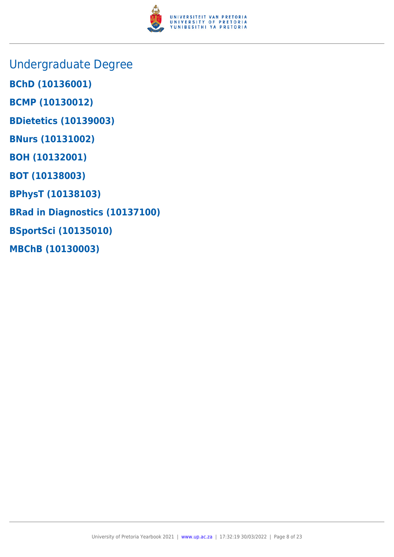

- Undergraduate Degree
- **BChD (10136001)**
- **BCMP (10130012)**
- **BDietetics (10139003)**
- **BNurs (10131002)**
- **BOH (10132001)**
- **BOT (10138003)**
- **BPhysT (10138103)**
- **BRad in Diagnostics (10137100)**
- **BSportSci (10135010)**
- **MBChB (10130003)**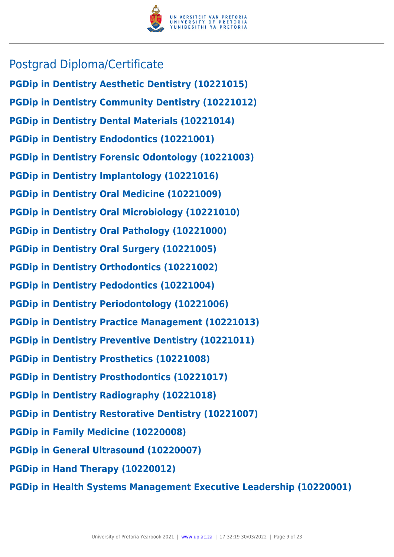

### Postgrad Diploma/Certificate

**PGDip in Dentistry Aesthetic Dentistry (10221015) PGDip in Dentistry Community Dentistry (10221012) PGDip in Dentistry Dental Materials (10221014) PGDip in Dentistry Endodontics (10221001) PGDip in Dentistry Forensic Odontology (10221003) PGDip in Dentistry Implantology (10221016) PGDip in Dentistry Oral Medicine (10221009) PGDip in Dentistry Oral Microbiology (10221010) PGDip in Dentistry Oral Pathology (10221000) PGDip in Dentistry Oral Surgery (10221005) PGDip in Dentistry Orthodontics (10221002) PGDip in Dentistry Pedodontics (10221004) PGDip in Dentistry Periodontology (10221006) PGDip in Dentistry Practice Management (10221013) PGDip in Dentistry Preventive Dentistry (10221011) PGDip in Dentistry Prosthetics (10221008) PGDip in Dentistry Prosthodontics (10221017) PGDip in Dentistry Radiography (10221018) PGDip in Dentistry Restorative Dentistry (10221007) PGDip in Family Medicine (10220008) PGDip in General Ultrasound (10220007) PGDip in Hand Therapy (10220012)**

**PGDip in Health Systems Management Executive Leadership (10220001)**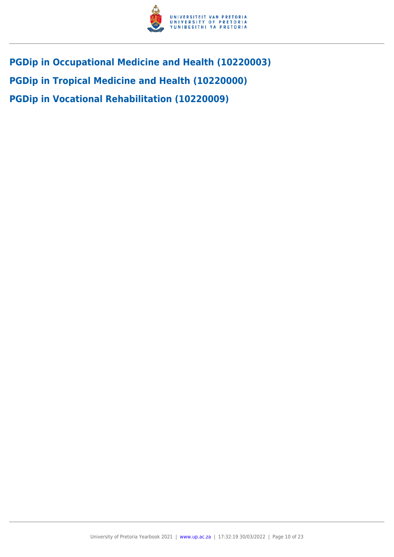

**PGDip in Occupational Medicine and Health (10220003) PGDip in Tropical Medicine and Health (10220000) PGDip in Vocational Rehabilitation (10220009)**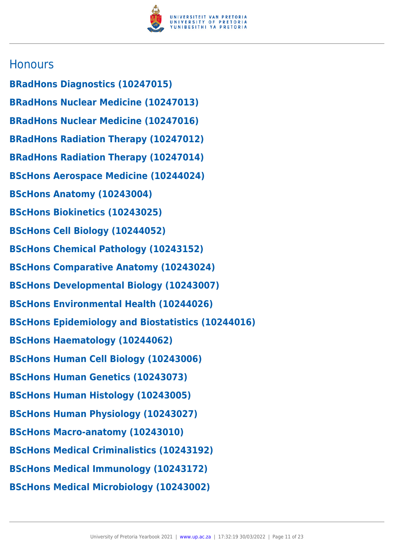

### **Honours**

- **BRadHons Diagnostics (10247015)**
- **BRadHons Nuclear Medicine (10247013)**
- **BRadHons Nuclear Medicine (10247016)**
- **BRadHons Radiation Therapy (10247012)**
- **BRadHons Radiation Therapy (10247014)**
- **BScHons Aerospace Medicine (10244024)**
- **BScHons Anatomy (10243004)**
- **BScHons Biokinetics (10243025)**
- **BScHons Cell Biology (10244052)**
- **BScHons Chemical Pathology (10243152)**
- **BScHons Comparative Anatomy (10243024)**
- **BScHons Developmental Biology (10243007)**
- **BScHons Environmental Health (10244026)**
- **BScHons Epidemiology and Biostatistics (10244016)**
- **BScHons Haematology (10244062)**
- **BScHons Human Cell Biology (10243006)**
- **BScHons Human Genetics (10243073)**
- **BScHons Human Histology (10243005)**
- **BScHons Human Physiology (10243027)**
- **BScHons Macro-anatomy (10243010)**
- **BScHons Medical Criminalistics (10243192)**
- **BScHons Medical Immunology (10243172)**
- **BScHons Medical Microbiology (10243002)**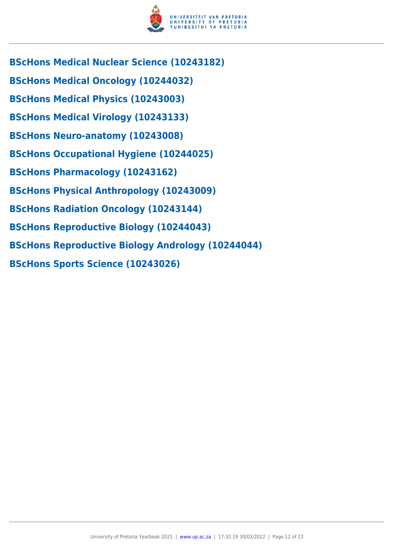

- **BScHons Medical Nuclear Science (10243182)**
- **BScHons Medical Oncology (10244032)**
- **BScHons Medical Physics (10243003)**
- **BScHons Medical Virology (10243133)**
- **BScHons Neuro-anatomy (10243008)**
- **BScHons Occupational Hygiene (10244025)**
- **BScHons Pharmacology (10243162)**
- **BScHons Physical Anthropology (10243009)**
- **BScHons Radiation Oncology (10243144)**
- **BScHons Reproductive Biology (10244043)**
- **BScHons Reproductive Biology Andrology (10244044)**
- **BScHons Sports Science (10243026)**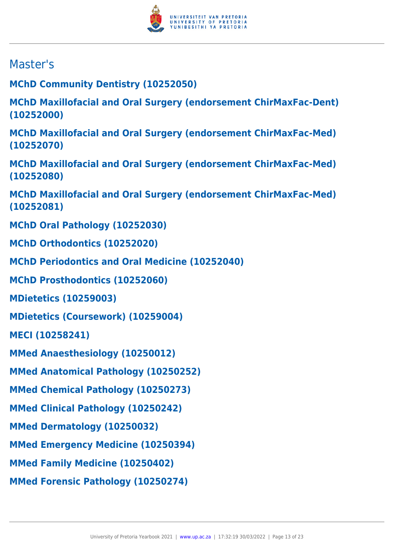

## Master's

**MChD Community Dentistry (10252050)**

**MChD Maxillofacial and Oral Surgery (endorsement ChirMaxFac-Dent) (10252000)**

**MChD Maxillofacial and Oral Surgery (endorsement ChirMaxFac-Med) (10252070)**

**MChD Maxillofacial and Oral Surgery (endorsement ChirMaxFac-Med) (10252080)**

**MChD Maxillofacial and Oral Surgery (endorsement ChirMaxFac-Med) (10252081)**

**MChD Oral Pathology (10252030)**

**MChD Orthodontics (10252020)**

**MChD Periodontics and Oral Medicine (10252040)**

**MChD Prosthodontics (10252060)**

**MDietetics (10259003)**

**MDietetics (Coursework) (10259004)**

**MECI (10258241)**

**MMed Anaesthesiology (10250012)**

**MMed Anatomical Pathology (10250252)**

**MMed Chemical Pathology (10250273)**

**MMed Clinical Pathology (10250242)**

**MMed Dermatology (10250032)**

**MMed Emergency Medicine (10250394)**

**MMed Family Medicine (10250402)**

**MMed Forensic Pathology (10250274)**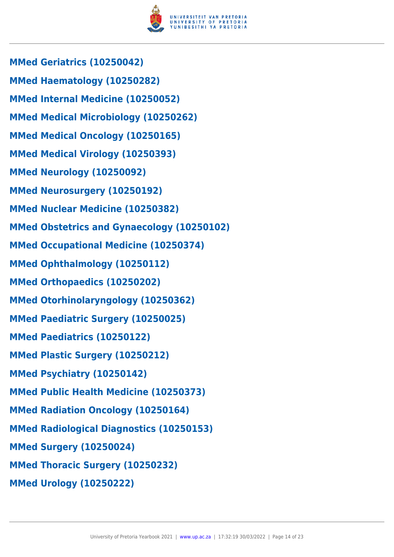

**MMed Geriatrics (10250042) MMed Haematology (10250282) MMed Internal Medicine (10250052) MMed Medical Microbiology (10250262) MMed Medical Oncology (10250165) MMed Medical Virology (10250393) MMed Neurology (10250092) MMed Neurosurgery (10250192) MMed Nuclear Medicine (10250382) MMed Obstetrics and Gynaecology (10250102) MMed Occupational Medicine (10250374) MMed Ophthalmology (10250112) MMed Orthopaedics (10250202) MMed Otorhinolaryngology (10250362) MMed Paediatric Surgery (10250025) MMed Paediatrics (10250122) MMed Plastic Surgery (10250212) MMed Psychiatry (10250142) MMed Public Health Medicine (10250373) MMed Radiation Oncology (10250164) MMed Radiological Diagnostics (10250153) MMed Surgery (10250024) MMed Thoracic Surgery (10250232) MMed Urology (10250222)**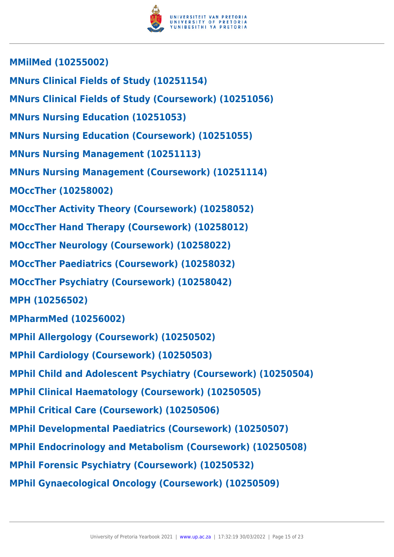

**MMilMed (10255002) MNurs Clinical Fields of Study (10251154) MNurs Clinical Fields of Study (Coursework) (10251056) MNurs Nursing Education (10251053) MNurs Nursing Education (Coursework) (10251055) MNurs Nursing Management (10251113) MNurs Nursing Management (Coursework) (10251114) MOccTher (10258002) MOccTher Activity Theory (Coursework) (10258052) MOccTher Hand Therapy (Coursework) (10258012) MOccTher Neurology (Coursework) (10258022) MOccTher Paediatrics (Coursework) (10258032) MOccTher Psychiatry (Coursework) (10258042) MPH (10256502) MPharmMed (10256002) MPhil Allergology (Coursework) (10250502) MPhil Cardiology (Coursework) (10250503) MPhil Child and Adolescent Psychiatry (Coursework) (10250504) MPhil Clinical Haematology (Coursework) (10250505) MPhil Critical Care (Coursework) (10250506) MPhil Developmental Paediatrics (Coursework) (10250507) MPhil Endocrinology and Metabolism (Coursework) (10250508) MPhil Forensic Psychiatry (Coursework) (10250532) MPhil Gynaecological Oncology (Coursework) (10250509)**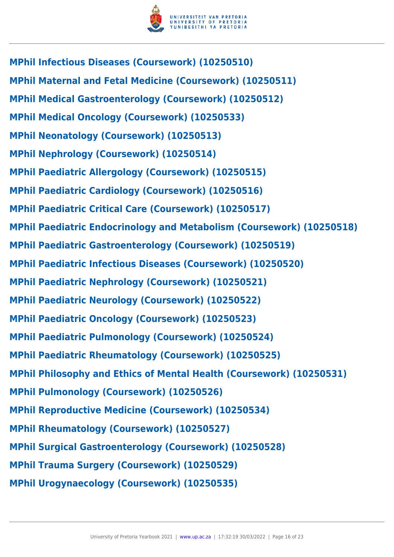

**MPhil Infectious Diseases (Coursework) (10250510) MPhil Maternal and Fetal Medicine (Coursework) (10250511) MPhil Medical Gastroenterology (Coursework) (10250512) MPhil Medical Oncology (Coursework) (10250533) MPhil Neonatology (Coursework) (10250513) MPhil Nephrology (Coursework) (10250514) MPhil Paediatric Allergology (Coursework) (10250515) MPhil Paediatric Cardiology (Coursework) (10250516) MPhil Paediatric Critical Care (Coursework) (10250517) MPhil Paediatric Endocrinology and Metabolism (Coursework) (10250518) MPhil Paediatric Gastroenterology (Coursework) (10250519) MPhil Paediatric Infectious Diseases (Coursework) (10250520) MPhil Paediatric Nephrology (Coursework) (10250521) MPhil Paediatric Neurology (Coursework) (10250522) MPhil Paediatric Oncology (Coursework) (10250523) MPhil Paediatric Pulmonology (Coursework) (10250524) MPhil Paediatric Rheumatology (Coursework) (10250525) MPhil Philosophy and Ethics of Mental Health (Coursework) (10250531) MPhil Pulmonology (Coursework) (10250526) MPhil Reproductive Medicine (Coursework) (10250534) MPhil Rheumatology (Coursework) (10250527) MPhil Surgical Gastroenterology (Coursework) (10250528) MPhil Trauma Surgery (Coursework) (10250529) MPhil Urogynaecology (Coursework) (10250535)**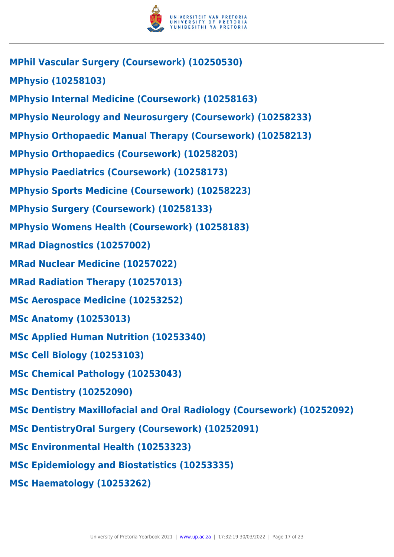

**MPhil Vascular Surgery (Coursework) (10250530) MPhysio (10258103) MPhysio Internal Medicine (Coursework) (10258163) MPhysio Neurology and Neurosurgery (Coursework) (10258233) MPhysio Orthopaedic Manual Therapy (Coursework) (10258213) MPhysio Orthopaedics (Coursework) (10258203) MPhysio Paediatrics (Coursework) (10258173) MPhysio Sports Medicine (Coursework) (10258223) MPhysio Surgery (Coursework) (10258133) MPhysio Womens Health (Coursework) (10258183) MRad Diagnostics (10257002) MRad Nuclear Medicine (10257022) MRad Radiation Therapy (10257013) MSc Aerospace Medicine (10253252) MSc Anatomy (10253013) MSc Applied Human Nutrition (10253340) MSc Cell Biology (10253103) MSc Chemical Pathology (10253043) MSc Dentistry (10252090) MSc Dentistry Maxillofacial and Oral Radiology (Coursework) (10252092) MSc DentistryOral Surgery (Coursework) (10252091) MSc Environmental Health (10253323) MSc Epidemiology and Biostatistics (10253335) MSc Haematology (10253262)**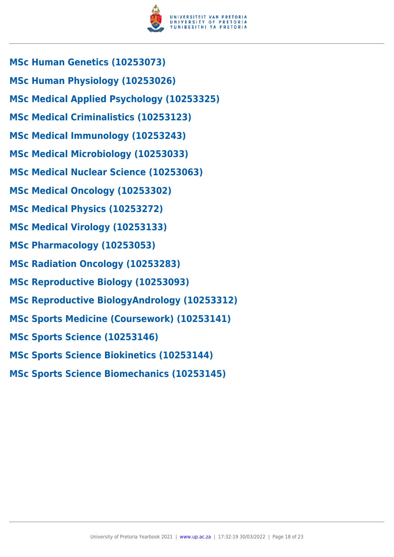

- **MSc Human Genetics (10253073)**
- **MSc Human Physiology (10253026)**
- **MSc Medical Applied Psychology (10253325)**
- **MSc Medical Criminalistics (10253123)**
- **MSc Medical Immunology (10253243)**
- **MSc Medical Microbiology (10253033)**
- **MSc Medical Nuclear Science (10253063)**
- **MSc Medical Oncology (10253302)**
- **MSc Medical Physics (10253272)**
- **MSc Medical Virology (10253133)**
- **MSc Pharmacology (10253053)**
- **MSc Radiation Oncology (10253283)**
- **MSc Reproductive Biology (10253093)**
- **MSc Reproductive BiologyAndrology (10253312)**
- **MSc Sports Medicine (Coursework) (10253141)**
- **MSc Sports Science (10253146)**
- **MSc Sports Science Biokinetics (10253144)**
- **MSc Sports Science Biomechanics (10253145)**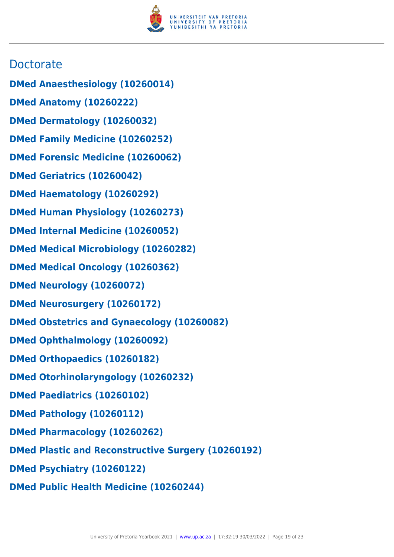

### **Doctorate**

- **DMed Anaesthesiology (10260014)**
- **DMed Anatomy (10260222)**
- **DMed Dermatology (10260032)**
- **DMed Family Medicine (10260252)**
- **DMed Forensic Medicine (10260062)**
- **DMed Geriatrics (10260042)**
- **DMed Haematology (10260292)**
- **DMed Human Physiology (10260273)**
- **DMed Internal Medicine (10260052)**
- **DMed Medical Microbiology (10260282)**
- **DMed Medical Oncology (10260362)**
- **DMed Neurology (10260072)**
- **DMed Neurosurgery (10260172)**
- **DMed Obstetrics and Gynaecology (10260082)**
- **DMed Ophthalmology (10260092)**
- **DMed Orthopaedics (10260182)**
- **DMed Otorhinolaryngology (10260232)**
- **DMed Paediatrics (10260102)**
- **DMed Pathology (10260112)**
- **DMed Pharmacology (10260262)**
- **DMed Plastic and Reconstructive Surgery (10260192)**
- **DMed Psychiatry (10260122)**
- **DMed Public Health Medicine (10260244)**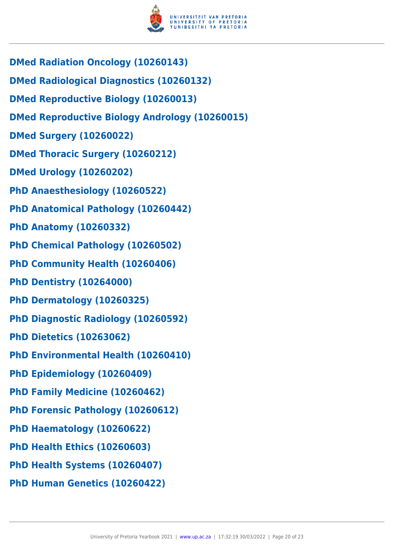

- **DMed Radiation Oncology (10260143)**
- **DMed Radiological Diagnostics (10260132)**
- **DMed Reproductive Biology (10260013)**
- **DMed Reproductive Biology Andrology (10260015)**
- **DMed Surgery (10260022)**
- **DMed Thoracic Surgery (10260212)**
- **DMed Urology (10260202)**
- **PhD Anaesthesiology (10260522)**
- **PhD Anatomical Pathology (10260442)**
- **PhD Anatomy (10260332)**
- **PhD Chemical Pathology (10260502)**
- **PhD Community Health (10260406)**
- **PhD Dentistry (10264000)**
- **PhD Dermatology (10260325)**
- **PhD Diagnostic Radiology (10260592)**
- **PhD Dietetics (10263062)**
- **PhD Environmental Health (10260410)**
- **PhD Epidemiology (10260409)**
- **PhD Family Medicine (10260462)**
- **PhD Forensic Pathology (10260612)**
- **PhD Haematology (10260622)**
- **PhD Health Ethics (10260603)**
- **PhD Health Systems (10260407)**
- **PhD Human Genetics (10260422)**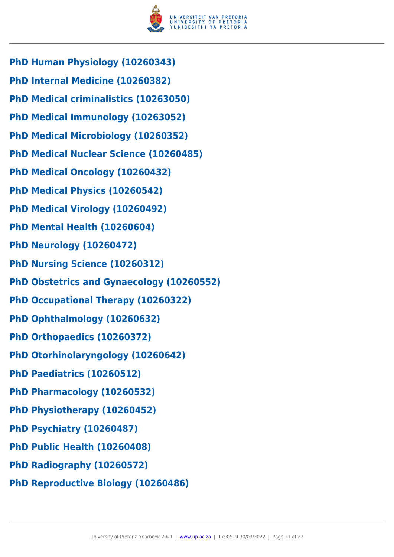

- **PhD Human Physiology (10260343)**
- **PhD Internal Medicine (10260382)**
- **PhD Medical criminalistics (10263050)**
- **PhD Medical Immunology (10263052)**
- **PhD Medical Microbiology (10260352)**
- **PhD Medical Nuclear Science (10260485)**
- **PhD Medical Oncology (10260432)**
- **PhD Medical Physics (10260542)**
- **PhD Medical Virology (10260492)**
- **PhD Mental Health (10260604)**
- **PhD Neurology (10260472)**
- **PhD Nursing Science (10260312)**
- **PhD Obstetrics and Gynaecology (10260552)**
- **PhD Occupational Therapy (10260322)**
- **PhD Ophthalmology (10260632)**
- **PhD Orthopaedics (10260372)**
- **PhD Otorhinolaryngology (10260642)**
- **PhD Paediatrics (10260512)**
- **PhD Pharmacology (10260532)**
- **PhD Physiotherapy (10260452)**
- **PhD Psychiatry (10260487)**
- **PhD Public Health (10260408)**
- **PhD Radiography (10260572)**
- **PhD Reproductive Biology (10260486)**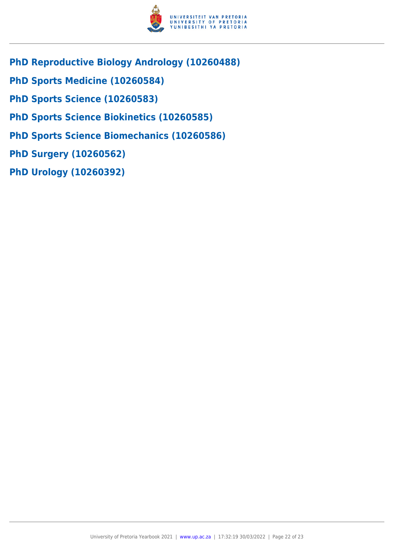

- **PhD Reproductive Biology Andrology (10260488)**
- **PhD Sports Medicine (10260584)**
- **PhD Sports Science (10260583)**
- **PhD Sports Science Biokinetics (10260585)**
- **PhD Sports Science Biomechanics (10260586)**
- **PhD Surgery (10260562)**
- **PhD Urology (10260392)**